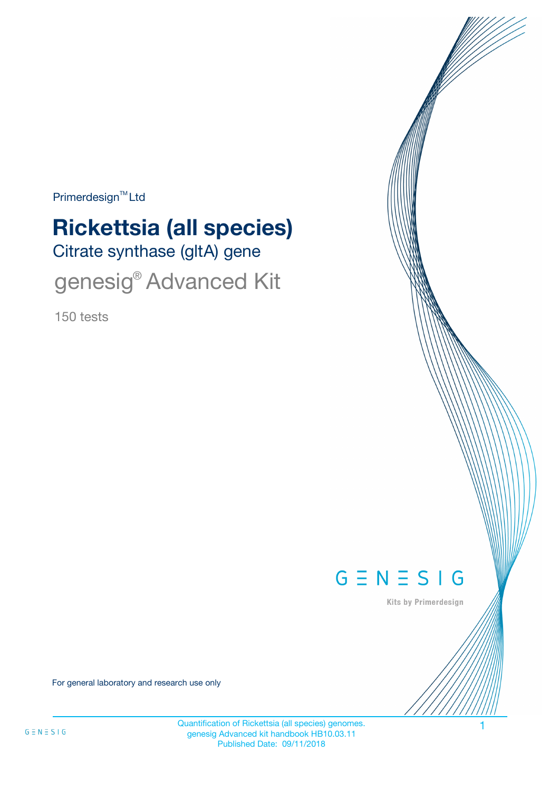Primerdesign<sup>™</sup>Ltd

# Citrate synthase (gltA) gene **Rickettsia (all species)**

genesig® Advanced Kit

150 tests



Kits by Primerdesign

For general laboratory and research use only

Quantification of Rickettsia (all species) genomes. 1 genesig Advanced kit handbook HB10.03.11 Published Date: 09/11/2018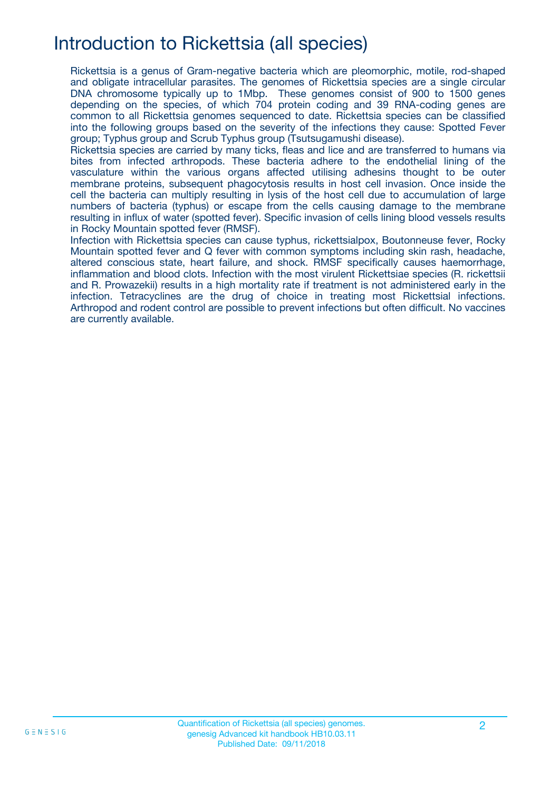## Introduction to Rickettsia (all species)

Rickettsia is a genus of Gram-negative bacteria which are pleomorphic, motile, rod-shaped and obligate intracellular parasites. The genomes of Rickettsia species are a single circular DNA chromosome typically up to 1Mbp. These genomes consist of 900 to 1500 genes depending on the species, of which 704 protein coding and 39 RNA-coding genes are common to all Rickettsia genomes sequenced to date. Rickettsia species can be classified into the following groups based on the severity of the infections they cause: Spotted Fever group; Typhus group and Scrub Typhus group (Tsutsugamushi disease).

Rickettsia species are carried by many ticks, fleas and lice and are transferred to humans via bites from infected arthropods. These bacteria adhere to the endothelial lining of the vasculature within the various organs affected utilising adhesins thought to be outer membrane proteins, subsequent phagocytosis results in host cell invasion. Once inside the cell the bacteria can multiply resulting in lysis of the host cell due to accumulation of large numbers of bacteria (typhus) or escape from the cells causing damage to the membrane resulting in influx of water (spotted fever). Specific invasion of cells lining blood vessels results in Rocky Mountain spotted fever (RMSF).

Infection with Rickettsia species can cause typhus, rickettsialpox, Boutonneuse fever, Rocky Mountain spotted fever and Q fever with common symptoms including skin rash, headache, altered conscious state, heart failure, and shock. RMSF specifically causes haemorrhage, inflammation and blood clots. Infection with the most virulent Rickettsiae species (R. rickettsii and R. Prowazekii) results in a high mortality rate if treatment is not administered early in the infection. Tetracyclines are the drug of choice in treating most Rickettsial infections. Arthropod and rodent control are possible to prevent infections but often difficult. No vaccines are currently available.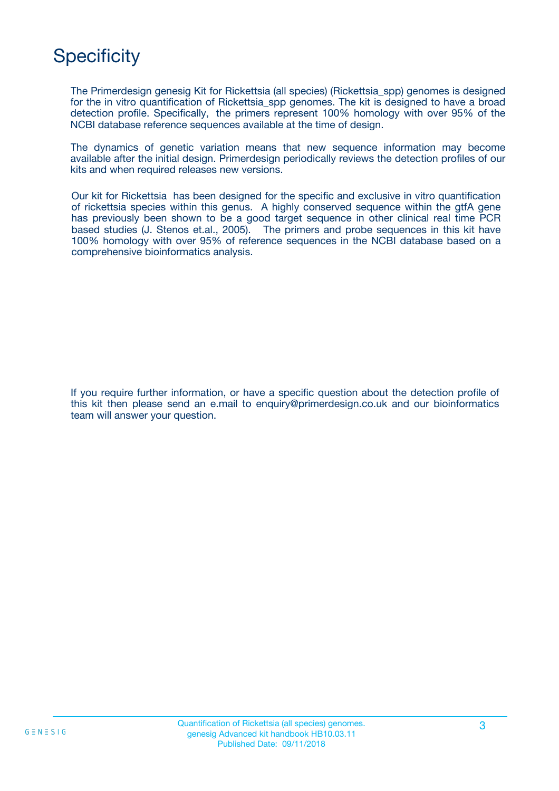# **Specificity**

The Primerdesign genesig Kit for Rickettsia (all species) (Rickettsia\_spp) genomes is designed for the in vitro quantification of Rickettsia spp genomes. The kit is designed to have a broad detection profile. Specifically, the primers represent 100% homology with over 95% of the NCBI database reference sequences available at the time of design.

The dynamics of genetic variation means that new sequence information may become available after the initial design. Primerdesign periodically reviews the detection profiles of our kits and when required releases new versions.

Our kit for Rickettsia has been designed for the specific and exclusive in vitro quantification of rickettsia species within this genus. A highly conserved sequence within the gtfA gene has previously been shown to be a good target sequence in other clinical real time PCR based studies (J. Stenos et.al., 2005). The primers and probe sequences in this kit have 100% homology with over 95% of reference sequences in the NCBI database based on a comprehensive bioinformatics analysis.

If you require further information, or have a specific question about the detection profile of this kit then please send an e.mail to enquiry@primerdesign.co.uk and our bioinformatics team will answer your question.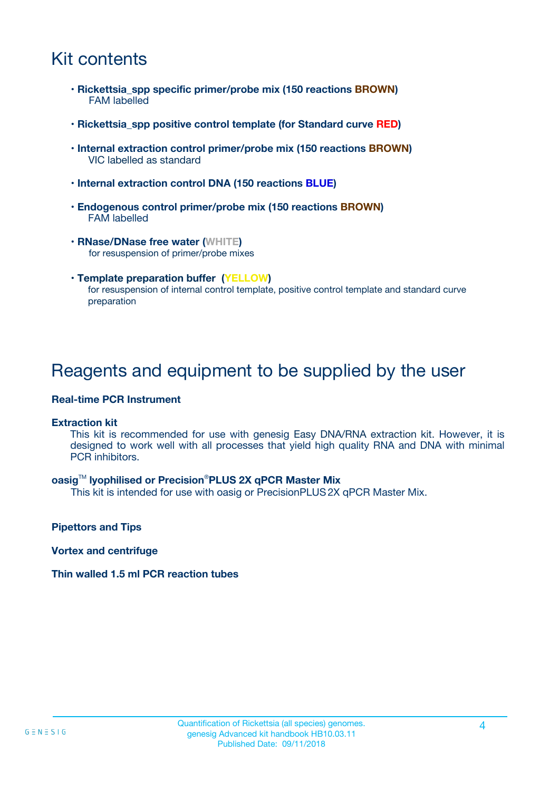## Kit contents

- **Rickettsia\_spp specific primer/probe mix (150 reactions BROWN)** FAM labelled
- **Rickettsia\_spp positive control template (for Standard curve RED)**
- **Internal extraction control primer/probe mix (150 reactions BROWN)** VIC labelled as standard
- **Internal extraction control DNA (150 reactions BLUE)**
- **Endogenous control primer/probe mix (150 reactions BROWN)** FAM labelled
- **RNase/DNase free water (WHITE)** for resuspension of primer/probe mixes
- **Template preparation buffer (YELLOW)** for resuspension of internal control template, positive control template and standard curve preparation

### Reagents and equipment to be supplied by the user

#### **Real-time PCR Instrument**

#### **Extraction kit**

This kit is recommended for use with genesig Easy DNA/RNA extraction kit. However, it is designed to work well with all processes that yield high quality RNA and DNA with minimal PCR inhibitors.

#### **oasig**TM **lyophilised or Precision**®**PLUS 2X qPCR Master Mix**

This kit is intended for use with oasig or PrecisionPLUS2X qPCR Master Mix.

**Pipettors and Tips**

**Vortex and centrifuge**

#### **Thin walled 1.5 ml PCR reaction tubes**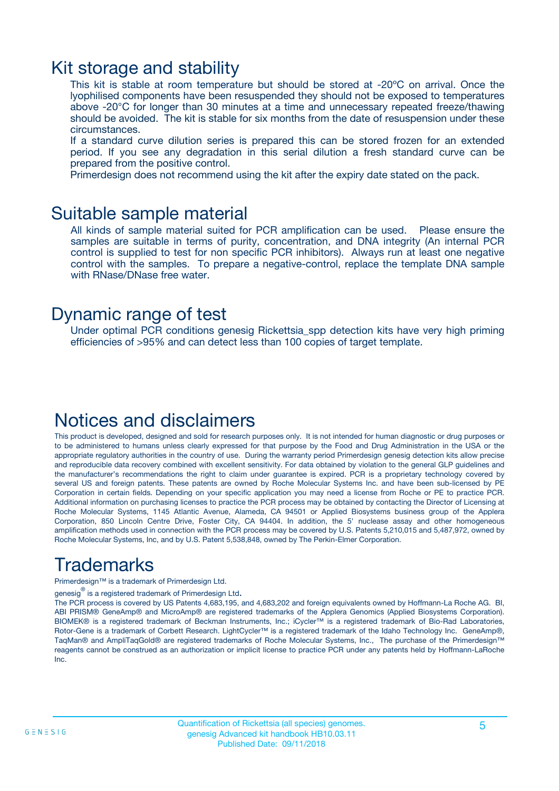### Kit storage and stability

This kit is stable at room temperature but should be stored at -20ºC on arrival. Once the lyophilised components have been resuspended they should not be exposed to temperatures above -20°C for longer than 30 minutes at a time and unnecessary repeated freeze/thawing should be avoided. The kit is stable for six months from the date of resuspension under these circumstances.

If a standard curve dilution series is prepared this can be stored frozen for an extended period. If you see any degradation in this serial dilution a fresh standard curve can be prepared from the positive control.

Primerdesign does not recommend using the kit after the expiry date stated on the pack.

### Suitable sample material

All kinds of sample material suited for PCR amplification can be used. Please ensure the samples are suitable in terms of purity, concentration, and DNA integrity (An internal PCR control is supplied to test for non specific PCR inhibitors). Always run at least one negative control with the samples. To prepare a negative-control, replace the template DNA sample with RNase/DNase free water.

### Dynamic range of test

Under optimal PCR conditions genesig Rickettsia\_spp detection kits have very high priming efficiencies of >95% and can detect less than 100 copies of target template.

### Notices and disclaimers

This product is developed, designed and sold for research purposes only. It is not intended for human diagnostic or drug purposes or to be administered to humans unless clearly expressed for that purpose by the Food and Drug Administration in the USA or the appropriate regulatory authorities in the country of use. During the warranty period Primerdesign genesig detection kits allow precise and reproducible data recovery combined with excellent sensitivity. For data obtained by violation to the general GLP guidelines and the manufacturer's recommendations the right to claim under guarantee is expired. PCR is a proprietary technology covered by several US and foreign patents. These patents are owned by Roche Molecular Systems Inc. and have been sub-licensed by PE Corporation in certain fields. Depending on your specific application you may need a license from Roche or PE to practice PCR. Additional information on purchasing licenses to practice the PCR process may be obtained by contacting the Director of Licensing at Roche Molecular Systems, 1145 Atlantic Avenue, Alameda, CA 94501 or Applied Biosystems business group of the Applera Corporation, 850 Lincoln Centre Drive, Foster City, CA 94404. In addition, the 5' nuclease assay and other homogeneous amplification methods used in connection with the PCR process may be covered by U.S. Patents 5,210,015 and 5,487,972, owned by Roche Molecular Systems, Inc, and by U.S. Patent 5,538,848, owned by The Perkin-Elmer Corporation.

## Trademarks

Primerdesign™ is a trademark of Primerdesign Ltd.

genesig $^\circledR$  is a registered trademark of Primerdesign Ltd.

The PCR process is covered by US Patents 4,683,195, and 4,683,202 and foreign equivalents owned by Hoffmann-La Roche AG. BI, ABI PRISM® GeneAmp® and MicroAmp® are registered trademarks of the Applera Genomics (Applied Biosystems Corporation). BIOMEK® is a registered trademark of Beckman Instruments, Inc.; iCycler™ is a registered trademark of Bio-Rad Laboratories, Rotor-Gene is a trademark of Corbett Research. LightCycler™ is a registered trademark of the Idaho Technology Inc. GeneAmp®, TaqMan® and AmpliTaqGold® are registered trademarks of Roche Molecular Systems, Inc., The purchase of the Primerdesign™ reagents cannot be construed as an authorization or implicit license to practice PCR under any patents held by Hoffmann-LaRoche Inc.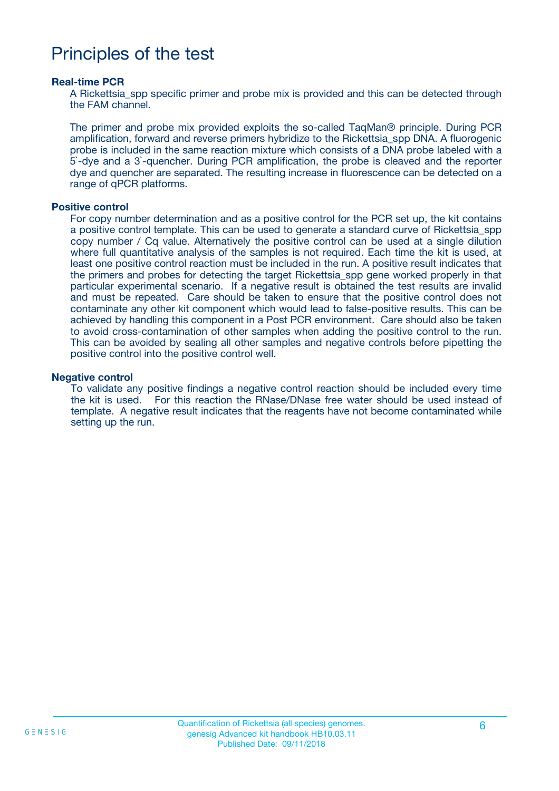### Principles of the test

#### **Real-time PCR**

A Rickettsia\_spp specific primer and probe mix is provided and this can be detected through the FAM channel.

The primer and probe mix provided exploits the so-called TaqMan® principle. During PCR amplification, forward and reverse primers hybridize to the Rickettsia\_spp DNA. A fluorogenic probe is included in the same reaction mixture which consists of a DNA probe labeled with a 5`-dye and a 3`-quencher. During PCR amplification, the probe is cleaved and the reporter dye and quencher are separated. The resulting increase in fluorescence can be detected on a range of qPCR platforms.

#### **Positive control**

For copy number determination and as a positive control for the PCR set up, the kit contains a positive control template. This can be used to generate a standard curve of Rickettsia\_spp copy number / Cq value. Alternatively the positive control can be used at a single dilution where full quantitative analysis of the samples is not required. Each time the kit is used, at least one positive control reaction must be included in the run. A positive result indicates that the primers and probes for detecting the target Rickettsia\_spp gene worked properly in that particular experimental scenario. If a negative result is obtained the test results are invalid and must be repeated. Care should be taken to ensure that the positive control does not contaminate any other kit component which would lead to false-positive results. This can be achieved by handling this component in a Post PCR environment. Care should also be taken to avoid cross-contamination of other samples when adding the positive control to the run. This can be avoided by sealing all other samples and negative controls before pipetting the positive control into the positive control well.

#### **Negative control**

To validate any positive findings a negative control reaction should be included every time the kit is used. For this reaction the RNase/DNase free water should be used instead of template. A negative result indicates that the reagents have not become contaminated while setting up the run.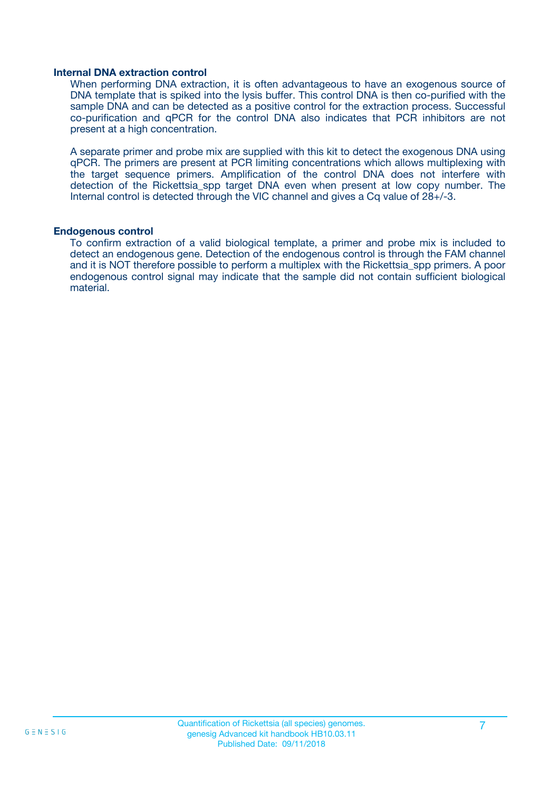#### **Internal DNA extraction control**

When performing DNA extraction, it is often advantageous to have an exogenous source of DNA template that is spiked into the lysis buffer. This control DNA is then co-purified with the sample DNA and can be detected as a positive control for the extraction process. Successful co-purification and qPCR for the control DNA also indicates that PCR inhibitors are not present at a high concentration.

A separate primer and probe mix are supplied with this kit to detect the exogenous DNA using qPCR. The primers are present at PCR limiting concentrations which allows multiplexing with the target sequence primers. Amplification of the control DNA does not interfere with detection of the Rickettsia spp target DNA even when present at low copy number. The Internal control is detected through the VIC channel and gives a Cq value of 28+/-3.

#### **Endogenous control**

To confirm extraction of a valid biological template, a primer and probe mix is included to detect an endogenous gene. Detection of the endogenous control is through the FAM channel and it is NOT therefore possible to perform a multiplex with the Rickettsia\_spp primers. A poor endogenous control signal may indicate that the sample did not contain sufficient biological material.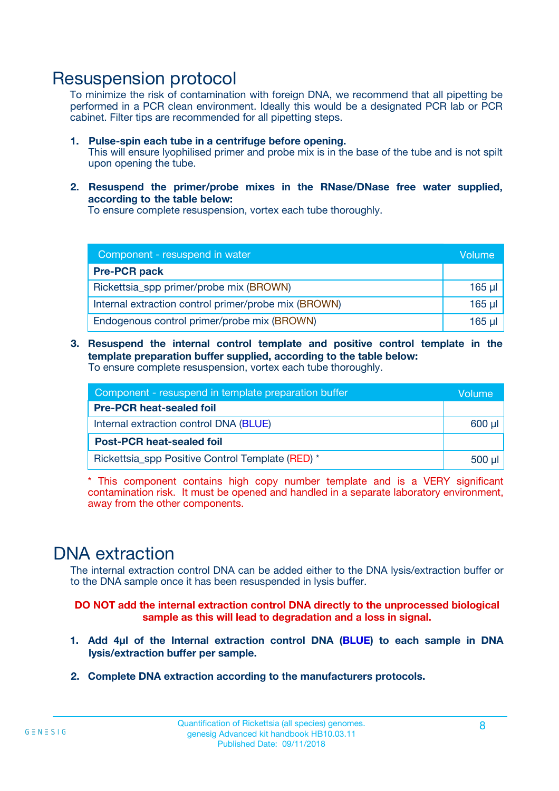### Resuspension protocol

To minimize the risk of contamination with foreign DNA, we recommend that all pipetting be performed in a PCR clean environment. Ideally this would be a designated PCR lab or PCR cabinet. Filter tips are recommended for all pipetting steps.

- **1. Pulse-spin each tube in a centrifuge before opening.** This will ensure lyophilised primer and probe mix is in the base of the tube and is not spilt upon opening the tube.
- **2. Resuspend the primer/probe mixes in the RNase/DNase free water supplied, according to the table below:**

To ensure complete resuspension, vortex each tube thoroughly.

| Component - resuspend in water                       |          |  |
|------------------------------------------------------|----------|--|
| <b>Pre-PCR pack</b>                                  |          |  |
| Rickettsia_spp primer/probe mix (BROWN)              | $165$ µl |  |
| Internal extraction control primer/probe mix (BROWN) | $165$ µl |  |
| Endogenous control primer/probe mix (BROWN)          | 165 µl   |  |

**3. Resuspend the internal control template and positive control template in the template preparation buffer supplied, according to the table below:** To ensure complete resuspension, vortex each tube thoroughly.

| Component - resuspend in template preparation buffer |  |  |  |
|------------------------------------------------------|--|--|--|
| <b>Pre-PCR heat-sealed foil</b>                      |  |  |  |
| Internal extraction control DNA (BLUE)               |  |  |  |
| <b>Post-PCR heat-sealed foil</b>                     |  |  |  |
| Rickettsia_spp Positive Control Template (RED) *     |  |  |  |

\* This component contains high copy number template and is a VERY significant contamination risk. It must be opened and handled in a separate laboratory environment, away from the other components.

### DNA extraction

The internal extraction control DNA can be added either to the DNA lysis/extraction buffer or to the DNA sample once it has been resuspended in lysis buffer.

**DO NOT add the internal extraction control DNA directly to the unprocessed biological sample as this will lead to degradation and a loss in signal.**

- **1. Add 4µl of the Internal extraction control DNA (BLUE) to each sample in DNA lysis/extraction buffer per sample.**
- **2. Complete DNA extraction according to the manufacturers protocols.**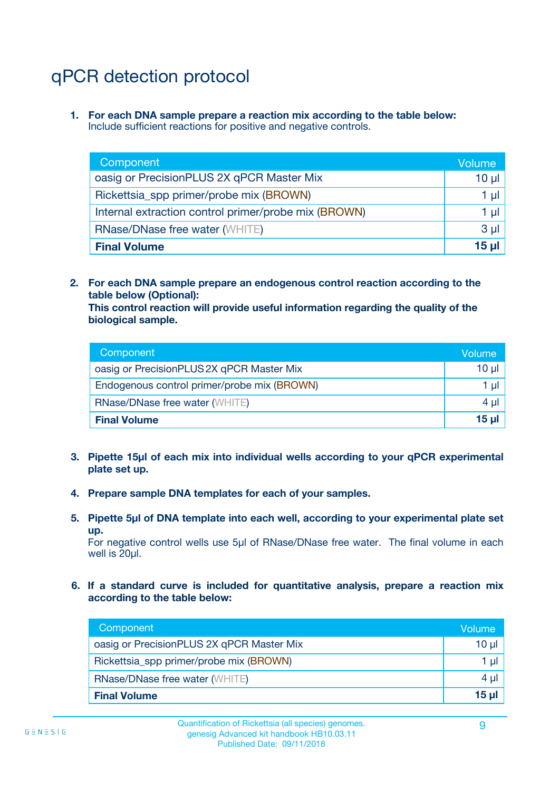# qPCR detection protocol

**1. For each DNA sample prepare a reaction mix according to the table below:** Include sufficient reactions for positive and negative controls.

| Component                                            | Volume   |
|------------------------------------------------------|----------|
| oasig or PrecisionPLUS 2X qPCR Master Mix            | $10 \mu$ |
| Rickettsia_spp primer/probe mix (BROWN)              | 1 µl     |
| Internal extraction control primer/probe mix (BROWN) | 1 µl     |
| <b>RNase/DNase free water (WHITE)</b>                | $3 \mu$  |
| <b>Final Volume</b>                                  | 15 ul    |

**2. For each DNA sample prepare an endogenous control reaction according to the table below (Optional):**

**This control reaction will provide useful information regarding the quality of the biological sample.**

| Component                                   | Volume   |
|---------------------------------------------|----------|
| oasig or PrecisionPLUS 2X qPCR Master Mix   | $10 \mu$ |
| Endogenous control primer/probe mix (BROWN) | 1 µI     |
| <b>RNase/DNase free water (WHITE)</b>       | $4 \mu$  |
| <b>Final Volume</b>                         | 15 µl    |

- **3. Pipette 15µl of each mix into individual wells according to your qPCR experimental plate set up.**
- **4. Prepare sample DNA templates for each of your samples.**
- **5. Pipette 5µl of DNA template into each well, according to your experimental plate set up.**

For negative control wells use 5µl of RNase/DNase free water. The final volume in each well is 20ul.

**6. If a standard curve is included for quantitative analysis, prepare a reaction mix according to the table below:**

| Component                                 | Volume   |
|-------------------------------------------|----------|
| oasig or PrecisionPLUS 2X qPCR Master Mix | 10 $\mu$ |
| Rickettsia_spp primer/probe mix (BROWN)   | 1 µI I   |
| <b>RNase/DNase free water (WHITE)</b>     | $4 \mu$  |
| <b>Final Volume</b>                       | 15 µl    |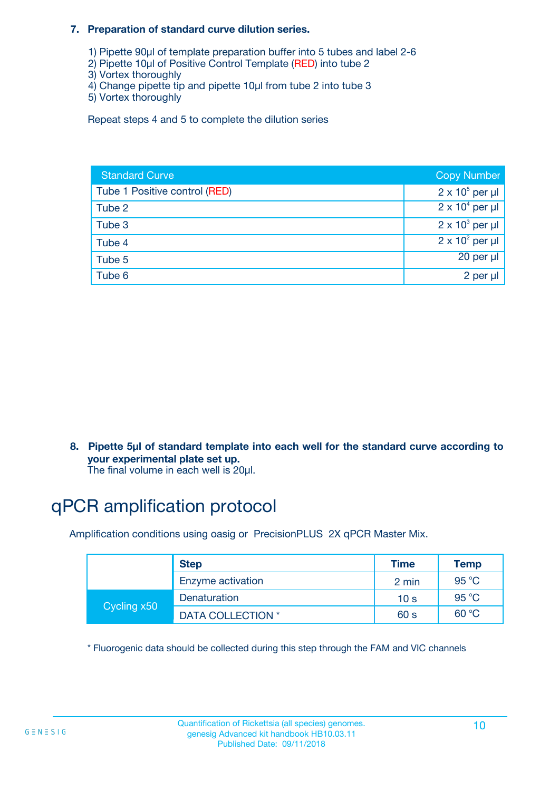#### **7. Preparation of standard curve dilution series.**

- 1) Pipette 90µl of template preparation buffer into 5 tubes and label 2-6
- 2) Pipette 10µl of Positive Control Template (RED) into tube 2
- 3) Vortex thoroughly
- 4) Change pipette tip and pipette 10µl from tube 2 into tube 3
- 5) Vortex thoroughly

Repeat steps 4 and 5 to complete the dilution series

| <b>Standard Curve</b>         | <b>Copy Number</b>     |
|-------------------------------|------------------------|
| Tube 1 Positive control (RED) | $2 \times 10^5$ per µl |
| Tube 2                        | $2 \times 10^4$ per µl |
| Tube 3                        | $2 \times 10^3$ per µl |
| Tube 4                        | $2 \times 10^2$ per µl |
| Tube 5                        | 20 per µl              |
| Tube 6                        | 2 per µl               |

**8. Pipette 5µl of standard template into each well for the standard curve according to your experimental plate set up.**

#### The final volume in each well is 20µl.

## qPCR amplification protocol

Amplification conditions using oasig or PrecisionPLUS 2X qPCR Master Mix.

|             | <b>Step</b>       | <b>Time</b>     | Temp    |
|-------------|-------------------|-----------------|---------|
|             | Enzyme activation | 2 min           | 95 °C   |
| Cycling x50 | Denaturation      | 10 <sub>s</sub> | 95 $°C$ |
|             | DATA COLLECTION * | 60 s            | 60 °C   |

\* Fluorogenic data should be collected during this step through the FAM and VIC channels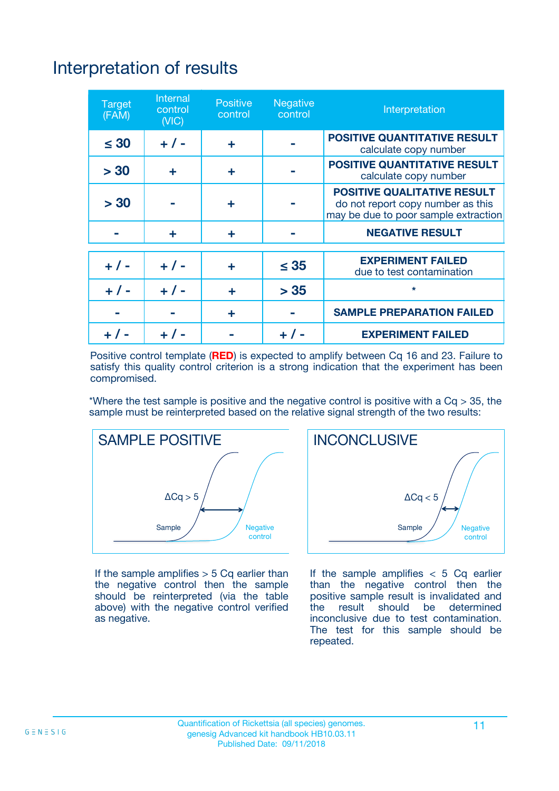# Interpretation of results

| <b>Target</b><br>(FAM) | <b>Internal</b><br>control<br>(NIC) | <b>Positive</b><br>control | <b>Negative</b><br>control | Interpretation                                                                                                  |
|------------------------|-------------------------------------|----------------------------|----------------------------|-----------------------------------------------------------------------------------------------------------------|
| $\leq 30$              | $+ 1 -$                             | ÷                          |                            | <b>POSITIVE QUANTITATIVE RESULT</b><br>calculate copy number                                                    |
| > 30                   | ٠                                   | ÷                          |                            | <b>POSITIVE QUANTITATIVE RESULT</b><br>calculate copy number                                                    |
| > 30                   |                                     | ÷                          |                            | <b>POSITIVE QUALITATIVE RESULT</b><br>do not report copy number as this<br>may be due to poor sample extraction |
|                        | ÷                                   | ÷                          |                            | <b>NEGATIVE RESULT</b>                                                                                          |
| $+ 1 -$                | $+ 1 -$                             | ÷                          | $\leq$ 35                  | <b>EXPERIMENT FAILED</b><br>due to test contamination                                                           |
| $+$ / -                | $+ 1 -$                             | ÷                          | > 35                       | $\star$                                                                                                         |
|                        |                                     | ÷                          |                            | <b>SAMPLE PREPARATION FAILED</b>                                                                                |
|                        |                                     |                            | $+$ /                      | <b>EXPERIMENT FAILED</b>                                                                                        |

Positive control template (**RED**) is expected to amplify between Cq 16 and 23. Failure to satisfy this quality control criterion is a strong indication that the experiment has been compromised.

\*Where the test sample is positive and the negative control is positive with a  $Ca > 35$ , the sample must be reinterpreted based on the relative signal strength of the two results:



If the sample amplifies  $> 5$  Cq earlier than the negative control then the sample should be reinterpreted (via the table above) with the negative control verified as negative.



If the sample amplifies  $< 5$  Cq earlier than the negative control then the positive sample result is invalidated and<br>the result should be determined  $the$  result should be inconclusive due to test contamination. The test for this sample should be repeated.